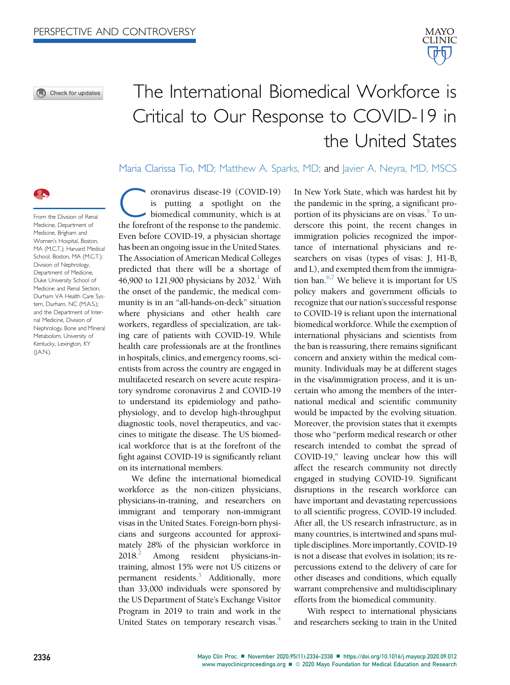O Check for updates

# The International Biomedical Workforce is Critical to Our Response to COVID-19 in the United States

Maria Clarissa Tio, MD; Matthew A. Sparks, MD; and Javier A. Neyra, MD, MSCS



From the Division of Renal Medicine, Department of Medicine, Brigham and Women's Hospital, Boston, MA (M.C.T.); Harvard Medical School, Boston, MA (M.C.T.); Division of Nephrology, Department of Medicine, Duke University School of Medicine and Renal Section, Durham VA Health Care System, Durham, NC (M.A.S.); and the Department of Internal Medicine, Division of Nephrology, Bone and Mineral Metabolism, University of Kentucky, Lexington, KY  $(I.A.N.)$ .

Coronavirus disease-19 (COVID-19)<br>is putting a spotlight on the<br>biomedical community, which is at<br>the forefront of the response to the pandemic is putting a spotlight on the biomedical community, which is at the forefront of the response to the pandemic. Even before COVID-19, a physician shortage has been an ongoing issue in the United States. The Association of American Medical Colleges predicted that there will be a shortage of 46,900 to 121,900 physicians by 2032.<sup>1</sup> With the onset of the pandemic, the medical community is in an "all-hands-on-deck" situation where physicians and other health care workers, regardless of specialization, are taking care of patients with COVID-19. While health care professionals are at the frontlines in hospitals, clinics, and emergency rooms, scientists from across the country are engaged in multifaceted research on severe acute respiratory syndrome coronavirus 2 and COVID-19 to understand its epidemiology and pathophysiology, and to develop high-throughput diagnostic tools, novel therapeutics, and vaccines to mitigate the disease. The US biomedical workforce that is at the forefront of the fight against COVID-19 is significantly reliant on its international members.

We define the international biomedical workforce as the non-citizen physicians, physicians-in-training, and researchers on immigrant and temporary non-immigrant visas in the United States. Foreign-born physicians and surgeons accounted for approximately 28% of the physician workforce in  $2018<sup>2</sup>$  Among resident physicians-intraining, almost 15% were not US citizens or permanent residents.<sup>3</sup> Additionally, more than 33,000 individuals were sponsored by the US Department of State's Exchange Visitor Program in 2019 to train and work in the United States on temporary research visas.<sup>[4](#page-2-3)</sup>

In New York State, which was hardest hit by the pandemic in the spring, a significant proportion of its physicians are on visas.<sup>5</sup> To underscore this point, the recent changes in immigration policies recognized the importance of international physicians and researchers on visas (types of visas: J, H1-B, and L), and exempted them from the immigration ban. $6,7$  $6,7$  We believe it is important for US policy makers and government officials to recognize that our nation's successful response to COVID-19 is reliant upon the international biomedical workforce. While the exemption of international physicians and scientists from the ban is reassuring, there remains significant concern and anxiety within the medical community. Individuals may be at different stages in the visa/immigration process, and it is uncertain who among the members of the international medical and scientific community would be impacted by the evolving situation. Moreover, the provision states that it exempts those who "perform medical research or other research intended to combat the spread of COVID-19," leaving unclear how this will affect the research community not directly engaged in studying COVID-19. Significant disruptions in the research workforce can have important and devastating repercussions to all scientific progress, COVID-19 included. After all, the US research infrastructure, as in many countries, is intertwined and spans multiple disciplines. More importantly, COVID-19 is not a disease that evolves in isolation; its repercussions extend to the delivery of care for other diseases and conditions, which equally warrant comprehensive and multidisciplinary efforts from the biomedical community.

With respect to international physicians and researchers seeking to train in the United

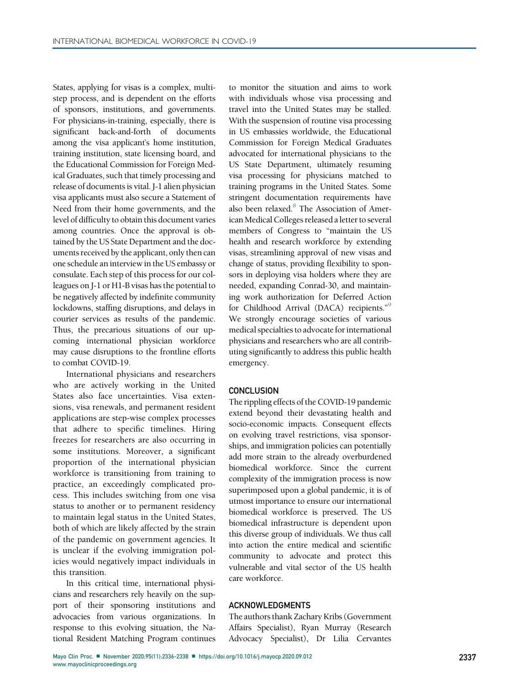States, applying for visas is a complex, multistep process, and is dependent on the efforts of sponsors, institutions, and governments. For physicians-in-training, especially, there is significant back-and-forth of documents among the visa applicant's home institution, training institution, state licensing board, and the Educational Commission for Foreign Medical Graduates, such that timely processing and release of documents is vital. J-1 alien physician visa applicants must also secure a Statement of Need from their home governments, and the level of difficulty to obtain this document varies among countries. Once the approval is obtained by the US State Department and the documents received by the applicant, only then can one schedule an interview in the US embassy or consulate. Each step of this process for our colleagues on J-1 or H1-B visas has the potential to be negatively affected by indefinite community lockdowns, staffing disruptions, and delays in courier services as results of the pandemic. Thus, the precarious situations of our upcoming international physician workforce may cause disruptions to the frontline efforts to combat COVID-19.

International physicians and researchers who are actively working in the United States also face uncertainties. Visa extensions, visa renewals, and permanent resident applications are step-wise complex processes that adhere to specific timelines. Hiring freezes for researchers are also occurring in some institutions. Moreover, a significant proportion of the international physician workforce is transitioning from training to practice, an exceedingly complicated process. This includes switching from one visa status to another or to permanent residency to maintain legal status in the United States, both of which are likely affected by the strain of the pandemic on government agencies. It is unclear if the evolving immigration policies would negatively impact individuals in this transition.

In this critical time, international physicians and researchers rely heavily on the support of their sponsoring institutions and advocacies from various organizations. In response to this evolving situation, the National Resident Matching Program continues

to monitor the situation and aims to work with individuals whose visa processing and travel into the United States may be stalled. With the suspension of routine visa processing in US embassies worldwide, the Educational Commission for Foreign Medical Graduates advocated for international physicians to the US State Department, ultimately resuming visa processing for physicians matched to training programs in the United States. Some stringent documentation requirements have also been relaxed. $8$  The Association of American Medical Colleges released a letter to several members of Congress to "maintain the US health and research workforce by extending visas, streamlining approval of new visas and change of status, providing flexibility to sponsors in deploying visa holders where they are needed, expanding Conrad-30, and maintaining work authorization for Deferred Action for Childhood Arrival (DACA) recipients."<sup>[9](#page-2-8)</sup> We strongly encourage societies of various medical specialties to advocate for international physicians and researchers who are all contributing significantly to address this public health emergency.

## **CONCLUSION**

The rippling effects of the COVID-19 pandemic extend beyond their devastating health and socio-economic impacts. Consequent effects on evolving travel restrictions, visa sponsorships, and immigration policies can potentially add more strain to the already overburdened biomedical workforce. Since the current complexity of the immigration process is now superimposed upon a global pandemic, it is of utmost importance to ensure our international biomedical workforce is preserved. The US biomedical infrastructure is dependent upon this diverse group of individuals. We thus call into action the entire medical and scientific community to advocate and protect this vulnerable and vital sector of the US health care workforce.

### ACKNOWLEDGMENTS

The authors thank Zachary Kribs (Government Affairs Specialist), Ryan Murray (Research Advocacy Specialist), Dr Lilia Cervantes